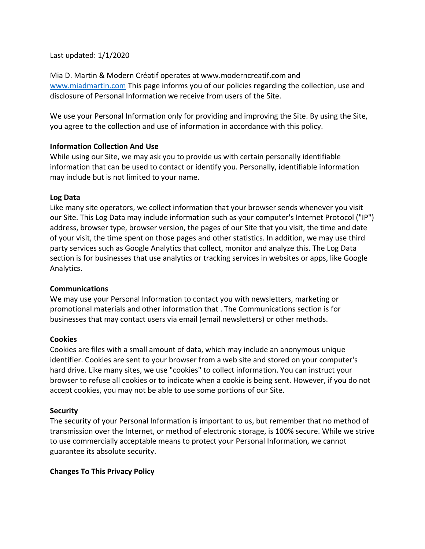Last updated: 1/1/2020

Mia D. Martin & Modern Créatif operates at www.moderncreatif.com and [www.miadmartin.com](http://www.miadmartin.com/) This page informs you of our policies regarding the collection, use and disclosure of Personal Information we receive from users of the Site.

We use your Personal Information only for providing and improving the Site. By using the Site, you agree to the collection and use of information in accordance with this policy.

## **Information Collection And Use**

While using our Site, we may ask you to provide us with certain personally identifiable information that can be used to contact or identify you. Personally, identifiable information may include but is not limited to your name.

### **Log Data**

Like many site operators, we collect information that your browser sends whenever you visit our Site. This Log Data may include information such as your computer's Internet Protocol ("IP") address, browser type, browser version, the pages of our Site that you visit, the time and date of your visit, the time spent on those pages and other statistics. In addition, we may use third party services such as Google Analytics that collect, monitor and analyze this. The Log Data section is for businesses that use analytics or tracking services in websites or apps, like Google Analytics.

### **Communications**

We may use your Personal Information to contact you with newsletters, marketing or promotional materials and other information that . The Communications section is for businesses that may contact users via email (email newsletters) or other methods.

### **Cookies**

Cookies are files with a small amount of data, which may include an anonymous unique identifier. Cookies are sent to your browser from a web site and stored on your computer's hard drive. Like many sites, we use "cookies" to collect information. You can instruct your browser to refuse all cookies or to indicate when a cookie is being sent. However, if you do not accept cookies, you may not be able to use some portions of our Site.

# **Security**

The security of your Personal Information is important to us, but remember that no method of transmission over the Internet, or method of electronic storage, is 100% secure. While we strive to use commercially acceptable means to protect your Personal Information, we cannot guarantee its absolute security.

# **Changes To This Privacy Policy**